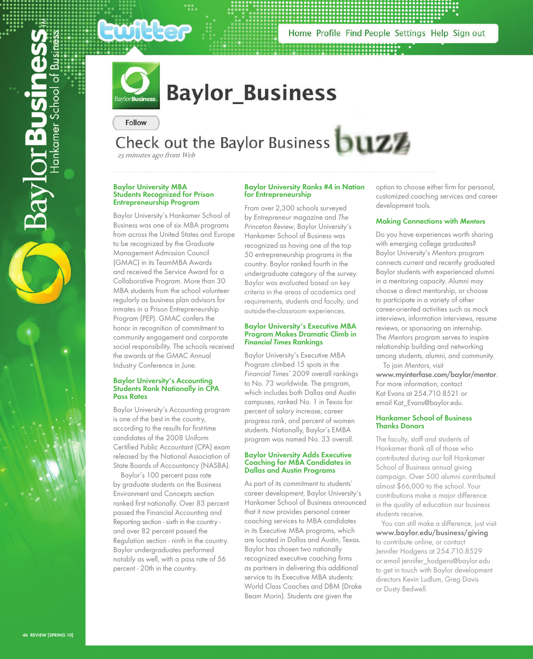

Home Profile Find People Settings Help Sign out



# **Baylor Business**

Follow

**Say lor Busin** 

# Check out the Baylor Business **DUZZ**

23 minutes ago from Web

### **Baylor University MBA Students Recognized for Prison Entrepreneurship Program**

Baylor University's Hankamer School of Business was one of six MBA programs from across the United States and Europe to be recognized by the Graduate Management Admission Council (GMAC) in its TeamMBA Awards and received the Service Award for a Collaborative Program. More than 30 MBA students from the school volunteer regularly as business plan advisors for inmates in a Prison Entrepreneurship Program (PEP). GMAC confers the honor in recognition of commitment to community engagement and corporate social responsibility. The schools received the awards at the GMAC Annual Industry Conference in June.

### **Baylor University's Accounting Students Rank Nationally in CPA Pass Rates**

Baylor University's Accounting program is one of the best in the country, according to the results for first-time candidates of the 2008 Uniform Certified Public Accountant (CPA) exam released by the National Association of State Boards of Accountancy (NASBA).

 Baylor's 100 percent pass rate by graduate students on the Business Environment and Concepts section ranked first nationally. Over 83 percent passed the Financial Accounting and Reporting section - sixth in the country and over 82 percent passed the Regulation section - ninth in the country. Baylor undergraduates performed notably as well, with a pass rate of 56 percent - 20th in the country.

# **Baylor University Ranks #4 in Nation for Entrepreneurship**

From over 2,300 schools surveyed by Entrepreneur magazine and The Princeton Review, Baylor University's Hankamer School of Business was recognized as having one of the top 50 entrepreneurship programs in the country. Baylor ranked fourth in the undergraduate category of the survey. Baylor was evaluated based on key criteria in the areas of academics and requirements, students and faculty, and outside-the-classroom experiences.

### **Baylor University's Executive MBA Program Makes Dramatic Climb in Financial Times Rankings**

Baylor University's Executive MBA Program climbed 15 spots in the Financial Times' 2009 overall rankings to No. 73 worldwide. The program, which includes both Dallas and Austin campuses, ranked No. 1 in Texas for percent of salary increase, career progress rank, and percent of women students. Nationally, Baylor's EMBA program was named No. 33 overall.

# **Baylor University Adds Executive Coaching for MBA Candidates in Dallas and Austin Programs**

As part of its commitment to students' career development, Baylor University's Hankamer School of Business announced that it now provides personal career coaching services to MBA candidates in its Executive MBA programs, which are located in Dallas and Austin, Texas. Baylor has chosen two nationally recognized executive coaching firms as partners in delivering this additional service to its Executive MBA students: World Class Coaches and DBM (Drake Beam Morin). Students are given the

option to choose either firm for personal, customized coaching services and career development tools.

# **Making Connections with Mentors**

Do you have experiences worth sharing with emerging college graduates? Baylor University's Mentors program connects current and recently graduated Baylor students with experienced alumni in a mentoring capacity. Alumni may choose a direct mentorship, or choose to participate in a variety of other career-oriented activities such as mock interviews, information interviews, resume reviews, or sponsoring an internship. The Mentors program serves to inspire relationship building and networking among students, alumni, and community.

 To join Mentors, visit **www.myinterfase.com/baylor/mentor**. For more information, contact Kat Evans at 254.710.8521 or email Kat\_Evans@baylor.edu.

# **Hankamer School of Business Thanks Donors**

The faculty, staff and students of Hankamer thank all of those who contributed during our fall Hankamer School of Business annual giving campaign. Over 500 alumni contributed almost \$66,000 to the school. Your contributions make a major difference in the quality of education our business students receive.

 You can still make a difference, just visit **www.baylor.edu/business/giving** to contribute online, or contact Jennifer Hodgens at 254.710.8529 or email jennifer\_hodgens@baylor.edu to get in touch with Baylor development directors Kevin Ludlum, Greg Davis or Dusty Bedwell.